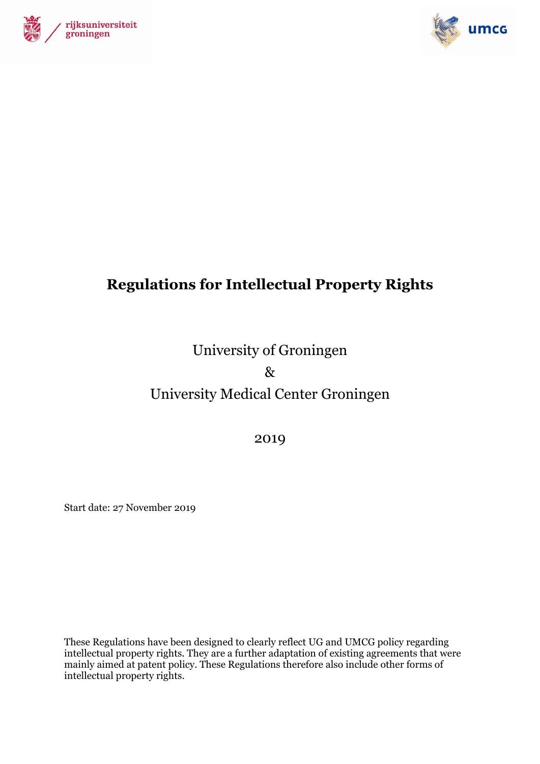



# **Regulations for Intellectual Property Rights**

University of Groningen & University Medical Center Groningen

2019

Start date: 27 November 2019

These Regulations have been designed to clearly reflect UG and UMCG policy regarding intellectual property rights. They are a further adaptation of existing agreements that were mainly aimed at patent policy. These Regulations therefore also include other forms of intellectual property rights.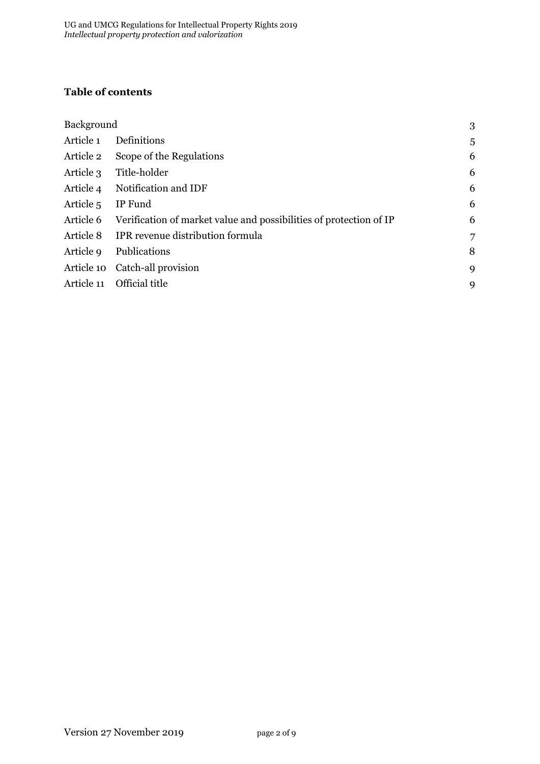# **Table of contents**

| Background           |                                                                    | 3 |
|----------------------|--------------------------------------------------------------------|---|
| Article 1            | Definitions                                                        | 5 |
| Article 2            | Scope of the Regulations                                           | 6 |
| Article 3            | Title-holder                                                       | 6 |
| Article 4            | Notification and IDF                                               | 6 |
| Article <sub>5</sub> | IP Fund                                                            | 6 |
| Article 6            | Verification of market value and possibilities of protection of IP | 6 |
| Article 8            | IPR revenue distribution formula                                   | 7 |
| Article 9            | Publications                                                       | 8 |
|                      | Article 10 Catch-all provision                                     | 9 |
| Article 11           | Official title                                                     | 9 |
|                      |                                                                    |   |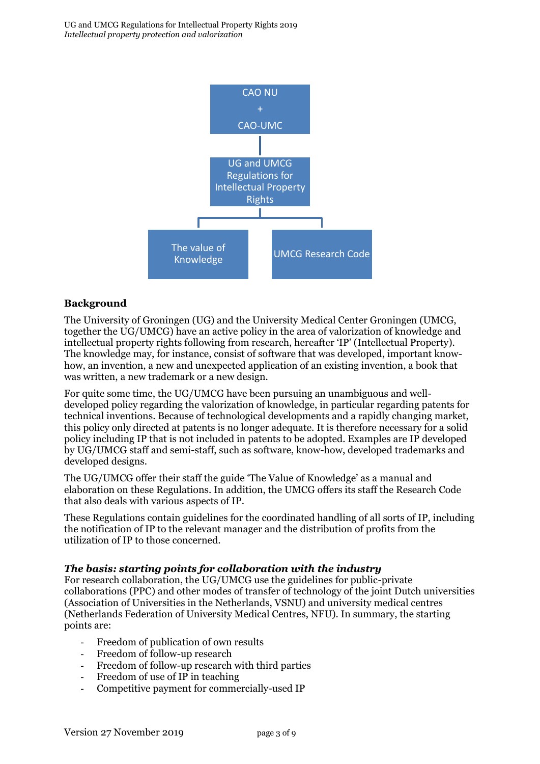

## <span id="page-2-0"></span>**Background**

The University of Groningen (UG) and the University Medical Center Groningen (UMCG, together the UG/UMCG) have an active policy in the area of valorization of knowledge and intellectual property rights following from research, hereafter 'IP' (Intellectual Property). The knowledge may, for instance, consist of software that was developed, important knowhow, an invention, a new and unexpected application of an existing invention, a book that was written, a new trademark or a new design.

For quite some time, the UG/UMCG have been pursuing an unambiguous and welldeveloped policy regarding the valorization of knowledge, in particular regarding patents for technical inventions. Because of technological developments and a rapidly changing market, this policy only directed at patents is no longer adequate. It is therefore necessary for a solid policy including IP that is not included in patents to be adopted. Examples are IP developed by UG/UMCG staff and semi-staff, such as software, know-how, developed trademarks and developed designs.

The UG/UMCG offer their staff the guide 'The Value of Knowledge' as a manual and elaboration on these Regulations. In addition, the UMCG offers its staff the Research Code that also deals with various aspects of IP.

These Regulations contain guidelines for the coordinated handling of all sorts of IP, including the notification of IP to the relevant manager and the distribution of profits from the utilization of IP to those concerned.

#### *The basis: starting points for collaboration with the industry*

For research collaboration, the UG/UMCG use the guidelines for public-private collaborations (PPC) and other modes of transfer of technology of the joint Dutch universities (Association of Universities in the Netherlands, VSNU) and university medical centres (Netherlands Federation of University Medical Centres, NFU). In summary, the starting points are:

- Freedom of publication of own results
- Freedom of follow-up research
- Freedom of follow-up research with third parties
- Freedom of use of IP in teaching
- Competitive payment for commercially-used IP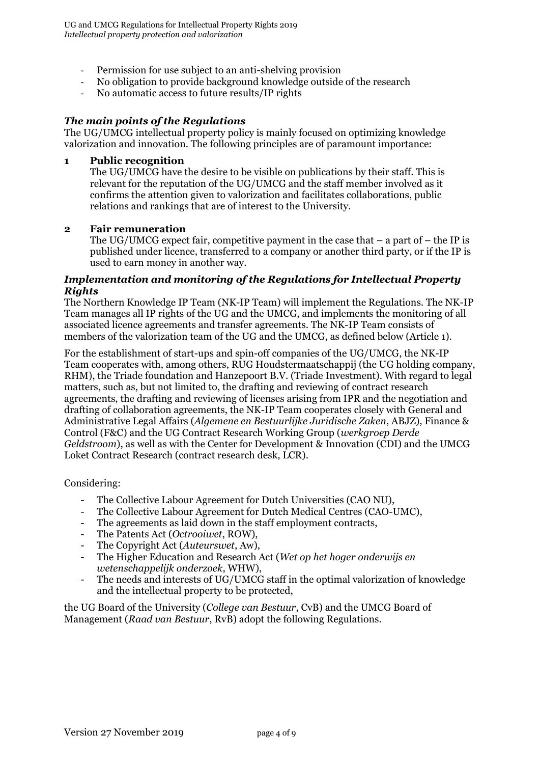- Permission for use subject to an anti-shelving provision
- No obligation to provide background knowledge outside of the research
- No automatic access to future results/IP rights

## *The main points of the Regulations*

The UG/UMCG intellectual property policy is mainly focused on optimizing knowledge valorization and innovation. The following principles are of paramount importance:

#### **1 Public recognition**

The UG/UMCG have the desire to be visible on publications by their staff. This is relevant for the reputation of the UG/UMCG and the staff member involved as it confirms the attention given to valorization and facilitates collaborations, public relations and rankings that are of interest to the University.

#### **2 Fair remuneration**

The UG/UMCG expect fair, competitive payment in the case that  $-$  a part of  $-$  the IP is published under licence, transferred to a company or another third party, or if the IP is used to earn money in another way.

#### *Implementation and monitoring of the Regulations for Intellectual Property Rights*

The Northern Knowledge IP Team (NK-IP Team) will implement the Regulations. The NK-IP Team manages all IP rights of the UG and the UMCG, and implements the monitoring of all associated licence agreements and transfer agreements. The NK-IP Team consists of members of the valorization team of the UG and the UMCG, as defined below (Article 1).

For the establishment of start-ups and spin-off companies of the UG/UMCG, the NK-IP Team cooperates with, among others, RUG Houdstermaatschappij (the UG holding company, RHM), the Triade foundation and Hanzepoort B.V. (Triade Investment). With regard to legal matters, such as, but not limited to, the drafting and reviewing of contract research agreements, the drafting and reviewing of licenses arising from IPR and the negotiation and drafting of collaboration agreements, the NK-IP Team cooperates closely with General and Administrative Legal Affairs (*Algemene en Bestuurlijke Juridische Zaken*, ABJZ), Finance & Control (F&C) and the UG Contract Research Working Group (*werkgroep Derde Geldstroom*), as well as with the Center for Development & Innovation (CDI) and the UMCG Loket Contract Research (contract research desk, LCR).

Considering:

- The Collective Labour Agreement for Dutch Universities (CAO NU),
- The Collective Labour Agreement for Dutch Medical Centres (CAO-UMC),
- The agreements as laid down in the staff employment contracts,<br>The Patents Act (Octrogiust POW)
- The Patents Act (*Octrooiwet*, ROW),
- The Copyright Act (*Auteurswet*, Aw),
- The Higher Education and Research Act (*Wet op het hoger onderwijs en wetenschappelijk onderzoek*, WHW),
- The needs and interests of UG/UMCG staff in the optimal valorization of knowledge and the intellectual property to be protected,

the UG Board of the University (*College van Bestuur*, CvB) and the UMCG Board of Management (*Raad van Bestuur*, RvB) adopt the following Regulations.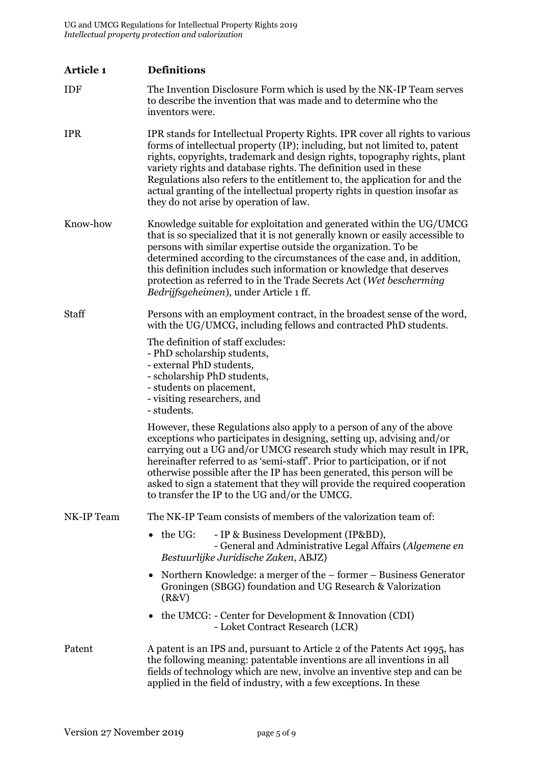<span id="page-4-0"></span>

| Article 1    | <b>Definitions</b>                                                                                                                                                                                                                                                                                                                                                                                                                                                                                                |
|--------------|-------------------------------------------------------------------------------------------------------------------------------------------------------------------------------------------------------------------------------------------------------------------------------------------------------------------------------------------------------------------------------------------------------------------------------------------------------------------------------------------------------------------|
| <b>IDF</b>   | The Invention Disclosure Form which is used by the NK-IP Team serves<br>to describe the invention that was made and to determine who the<br>inventors were.                                                                                                                                                                                                                                                                                                                                                       |
| <b>IPR</b>   | IPR stands for Intellectual Property Rights. IPR cover all rights to various<br>forms of intellectual property (IP); including, but not limited to, patent<br>rights, copyrights, trademark and design rights, topography rights, plant<br>variety rights and database rights. The definition used in these<br>Regulations also refers to the entitlement to, the application for and the<br>actual granting of the intellectual property rights in question insofar as<br>they do not arise by operation of law. |
| Know-how     | Knowledge suitable for exploitation and generated within the UG/UMCG<br>that is so specialized that it is not generally known or easily accessible to<br>persons with similar expertise outside the organization. To be<br>determined according to the circumstances of the case and, in addition,<br>this definition includes such information or knowledge that deserves<br>protection as referred to in the Trade Secrets Act (Wet bescherming<br>Bedrijfsgeheimen), under Article 1 ff.                       |
| <b>Staff</b> | Persons with an employment contract, in the broadest sense of the word,<br>with the UG/UMCG, including fellows and contracted PhD students.                                                                                                                                                                                                                                                                                                                                                                       |
|              | The definition of staff excludes:<br>- PhD scholarship students,<br>- external PhD students,<br>- scholarship PhD students,<br>- students on placement,<br>- visiting researchers, and<br>- students.                                                                                                                                                                                                                                                                                                             |
|              | However, these Regulations also apply to a person of any of the above<br>exceptions who participates in designing, setting up, advising and/or<br>carrying out a UG and/or UMCG research study which may result in IPR,<br>hereinafter referred to as 'semi-staff'. Prior to participation, or if not<br>otherwise possible after the IP has been generated, this person will be<br>asked to sign a statement that they will provide the required cooperation<br>to transfer the IP to the UG and/or the UMCG.    |
| NK-IP Team   | The NK-IP Team consists of members of the valorization team of:                                                                                                                                                                                                                                                                                                                                                                                                                                                   |
|              | the UG:<br>- IP & Business Development (IP&BD),<br>- General and Administrative Legal Affairs (Algemene en<br>Bestuurlijke Juridische Zaken, ABJZ)                                                                                                                                                                                                                                                                                                                                                                |
|              | Northern Knowledge: a merger of the – former – Business Generator<br>٠<br>Groningen (SBGG) foundation and UG Research & Valorization<br>(R&V)                                                                                                                                                                                                                                                                                                                                                                     |
|              | the UMCG: - Center for Development & Innovation (CDI)<br>- Loket Contract Research (LCR)                                                                                                                                                                                                                                                                                                                                                                                                                          |
| Patent       | A patent is an IPS and, pursuant to Article 2 of the Patents Act 1995, has<br>the following meaning: patentable inventions are all inventions in all<br>fields of technology which are new, involve an inventive step and can be<br>applied in the field of industry, with a few exceptions. In these                                                                                                                                                                                                             |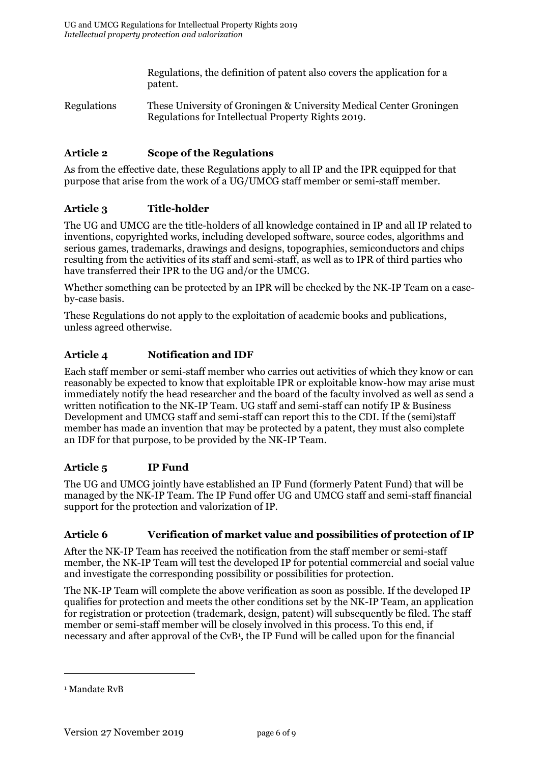Regulations, the definition of patent also covers the application for a patent.

Regulations These University of Groningen & University Medical Center Groningen Regulations for Intellectual Property Rights 2019.

## <span id="page-5-0"></span>**Article 2 Scope of the Regulations**

As from the effective date, these Regulations apply to all IP and the IPR equipped for that purpose that arise from the work of a UG/UMCG staff member or semi-staff member.

## <span id="page-5-1"></span>**Article 3 Title-holder**

The UG and UMCG are the title-holders of all knowledge contained in IP and all IP related to inventions, copyrighted works, including developed software, source codes, algorithms and serious games, trademarks, drawings and designs, topographies, semiconductors and chips resulting from the activities of its staff and semi-staff, as well as to IPR of third parties who have transferred their IPR to the UG and/or the UMCG.

Whether something can be protected by an IPR will be checked by the NK-IP Team on a caseby-case basis.

These Regulations do not apply to the exploitation of academic books and publications, unless agreed otherwise.

## <span id="page-5-2"></span>**Article 4 Notification and IDF**

Each staff member or semi-staff member who carries out activities of which they know or can reasonably be expected to know that exploitable IPR or exploitable know-how may arise must immediately notify the head researcher and the board of the faculty involved as well as send a written notification to the NK-IP Team. UG staff and semi-staff can notify IP & Business Development and UMCG staff and semi-staff can report this to the CDI. If the (semi)staff member has made an invention that may be protected by a patent, they must also complete an IDF for that purpose, to be provided by the NK-IP Team.

## <span id="page-5-3"></span>**Article 5 IP Fund**

The UG and UMCG jointly have established an IP Fund (formerly Patent Fund) that will be managed by the NK-IP Team. The IP Fund offer UG and UMCG staff and semi-staff financial support for the protection and valorization of IP.

#### <span id="page-5-4"></span>**Article 6 Verification of market value and possibilities of protection of IP**

After the NK-IP Team has received the notification from the staff member or semi-staff member, the NK-IP Team will test the developed IP for potential commercial and social value and investigate the corresponding possibility or possibilities for protection.

The NK-IP Team will complete the above verification as soon as possible. If the developed IP qualifies for protection and meets the other conditions set by the NK-IP Team, an application for registration or protection (trademark, design, patent) will subsequently be filed. The staff member or semi-staff member will be closely involved in this process. To this end, if necessary and after approval of the CvB<sup>1</sup>, the IP Fund will be called upon for the financial

<u>.</u>

<sup>&</sup>lt;sup>1</sup> Mandate RvB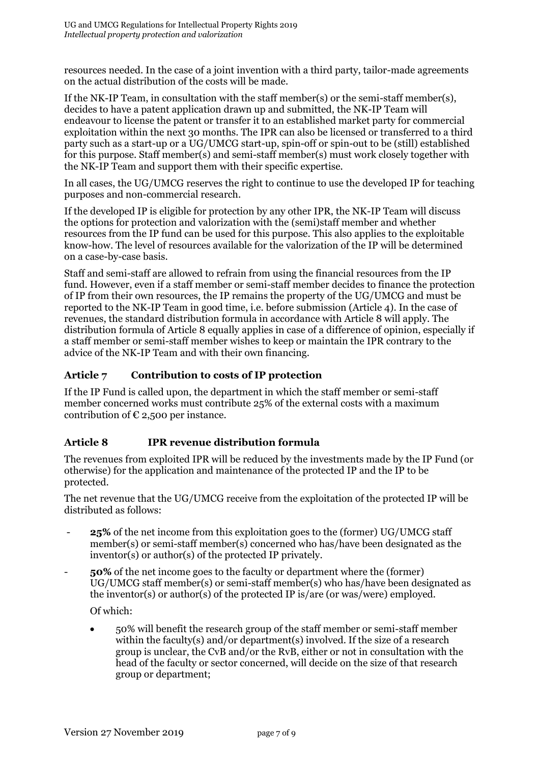resources needed. In the case of a joint invention with a third party, tailor-made agreements on the actual distribution of the costs will be made.

If the NK-IP Team, in consultation with the staff member(s) or the semi-staff member(s), decides to have a patent application drawn up and submitted, the NK-IP Team will endeavour to license the patent or transfer it to an established market party for commercial exploitation within the next 30 months. The IPR can also be licensed or transferred to a third party such as a start-up or a UG/UMCG start-up, spin-off or spin-out to be (still) established for this purpose. Staff member(s) and semi-staff member(s) must work closely together with the NK-IP Team and support them with their specific expertise.

In all cases, the UG/UMCG reserves the right to continue to use the developed IP for teaching purposes and non-commercial research.

If the developed IP is eligible for protection by any other IPR, the NK-IP Team will discuss the options for protection and valorization with the (semi)staff member and whether resources from the IP fund can be used for this purpose. This also applies to the exploitable know-how. The level of resources available for the valorization of the IP will be determined on a case-by-case basis.

Staff and semi-staff are allowed to refrain from using the financial resources from the IP fund. However, even if a staff member or semi-staff member decides to finance the protection of IP from their own resources, the IP remains the property of the UG/UMCG and must be reported to the NK-IP Team in good time, i.e. before submission (Article 4). In the case of revenues, the standard distribution formula in accordance with Article 8 will apply. The distribution formula of Article 8 equally applies in case of a difference of opinion, especially if a staff member or semi-staff member wishes to keep or maintain the IPR contrary to the advice of the NK-IP Team and with their own financing.

## **Article 7 Contribution to costs of IP protection**

If the IP Fund is called upon, the department in which the staff member or semi-staff member concerned works must contribute 25% of the external costs with a maximum contribution of  $\epsilon$  2,500 per instance.

# <span id="page-6-0"></span>**Article 8 IPR revenue distribution formula**

The revenues from exploited IPR will be reduced by the investments made by the IP Fund (or otherwise) for the application and maintenance of the protected IP and the IP to be protected.

The net revenue that the UG/UMCG receive from the exploitation of the protected IP will be distributed as follows:

- **25%** of the net income from this exploitation goes to the (former) UG/UMCG staff member(s) or semi-staff member(s) concerned who has/have been designated as the inventor(s) or author(s) of the protected IP privately.
- **50%** of the net income goes to the faculty or department where the (former) UG/UMCG staff member(s) or semi-staff member(s) who has/have been designated as the inventor(s) or author(s) of the protected IP is/are (or was/were) employed.

Of which:

 50% will benefit the research group of the staff member or semi-staff member within the faculty(s) and/or department(s) involved. If the size of a research group is unclear, the CvB and/or the RvB, either or not in consultation with the head of the faculty or sector concerned, will decide on the size of that research group or department;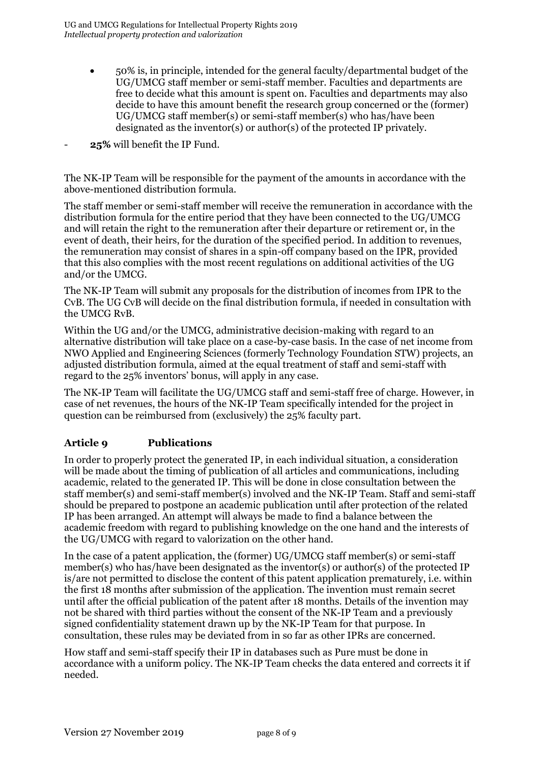- 50% is, in principle, intended for the general faculty/departmental budget of the UG/UMCG staff member or semi-staff member. Faculties and departments are free to decide what this amount is spent on. Faculties and departments may also decide to have this amount benefit the research group concerned or the (former) UG/UMCG staff member(s) or semi-staff member(s) who has/have been designated as the inventor(s) or author(s) of the protected IP privately.
- 25% will benefit the IP Fund.

The NK-IP Team will be responsible for the payment of the amounts in accordance with the above-mentioned distribution formula.

The staff member or semi-staff member will receive the remuneration in accordance with the distribution formula for the entire period that they have been connected to the UG/UMCG and will retain the right to the remuneration after their departure or retirement or, in the event of death, their heirs, for the duration of the specified period. In addition to revenues, the remuneration may consist of shares in a spin-off company based on the IPR, provided that this also complies with the most recent regulations on additional activities of the UG and/or the UMCG.

The NK-IP Team will submit any proposals for the distribution of incomes from IPR to the CvB. The UG CvB will decide on the final distribution formula, if needed in consultation with the UMCG RvB.

Within the UG and/or the UMCG, administrative decision-making with regard to an alternative distribution will take place on a case-by-case basis. In the case of net income from NWO Applied and Engineering Sciences (formerly Technology Foundation STW) projects, an adjusted distribution formula, aimed at the equal treatment of staff and semi-staff with regard to the 25% inventors' bonus, will apply in any case.

The NK-IP Team will facilitate the UG/UMCG staff and semi-staff free of charge. However, in case of net revenues, the hours of the NK-IP Team specifically intended for the project in question can be reimbursed from (exclusively) the 25% faculty part.

## <span id="page-7-0"></span>**Article 9 Publications**

In order to properly protect the generated IP, in each individual situation, a consideration will be made about the timing of publication of all articles and communications, including academic, related to the generated IP. This will be done in close consultation between the staff member(s) and semi-staff member(s) involved and the NK-IP Team. Staff and semi-staff should be prepared to postpone an academic publication until after protection of the related IP has been arranged. An attempt will always be made to find a balance between the academic freedom with regard to publishing knowledge on the one hand and the interests of the UG/UMCG with regard to valorization on the other hand.

In the case of a patent application, the (former) UG/UMCG staff member(s) or semi-staff member(s) who has/have been designated as the inventor(s) or author(s) of the protected IP is/are not permitted to disclose the content of this patent application prematurely, i.e. within the first 18 months after submission of the application. The invention must remain secret until after the official publication of the patent after 18 months. Details of the invention may not be shared with third parties without the consent of the NK-IP Team and a previously signed confidentiality statement drawn up by the NK-IP Team for that purpose. In consultation, these rules may be deviated from in so far as other IPRs are concerned.

How staff and semi-staff specify their IP in databases such as Pure must be done in accordance with a uniform policy. The NK-IP Team checks the data entered and corrects it if needed.